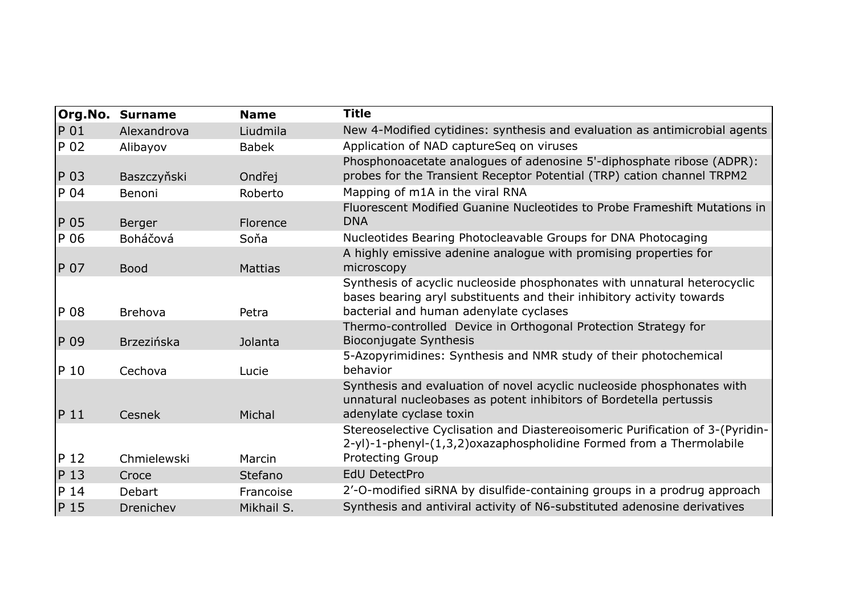|                 | <b>Org.No. Surname</b> | <b>Name</b>    | <b>Title</b>                                                                                                                                                                                |
|-----------------|------------------------|----------------|---------------------------------------------------------------------------------------------------------------------------------------------------------------------------------------------|
| P 01            | Alexandrova            | Liudmila       | New 4-Modified cytidines: synthesis and evaluation as antimicrobial agents                                                                                                                  |
| P 02            | Alibayov               | <b>Babek</b>   | Application of NAD captureSeq on viruses                                                                                                                                                    |
| P 03            | Baszczyňski            | Ondřej         | Phosphonoacetate analogues of adenosine 5'-diphosphate ribose (ADPR):<br>probes for the Transient Receptor Potential (TRP) cation channel TRPM2                                             |
| P 04            | Benoni                 | Roberto        | Mapping of m1A in the viral RNA                                                                                                                                                             |
| P 05            | Berger                 | Florence       | Fluorescent Modified Guanine Nucleotides to Probe Frameshift Mutations in<br><b>DNA</b>                                                                                                     |
| P 06            | Boháčová               | Soňa           | Nucleotides Bearing Photocleavable Groups for DNA Photocaging                                                                                                                               |
| P 07            | <b>Bood</b>            | <b>Mattias</b> | A highly emissive adenine analogue with promising properties for<br>microscopy                                                                                                              |
| P 08            | <b>Brehova</b>         | Petra          | Synthesis of acyclic nucleoside phosphonates with unnatural heterocyclic<br>bases bearing aryl substituents and their inhibitory activity towards<br>bacterial and human adenylate cyclases |
| P 09            | <b>Brzezińska</b>      | Jolanta        | Thermo-controlled Device in Orthogonal Protection Strategy for<br>Bioconjugate Synthesis                                                                                                    |
| P 10            | Cechova                | Lucie          | 5-Azopyrimidines: Synthesis and NMR study of their photochemical<br>behavior                                                                                                                |
| P <sub>11</sub> | Cesnek                 | Michal         | Synthesis and evaluation of novel acyclic nucleoside phosphonates with<br>unnatural nucleobases as potent inhibitors of Bordetella pertussis<br>adenylate cyclase toxin                     |
| P <sub>12</sub> | Chmielewski            | Marcin         | Stereoselective Cyclisation and Diastereoisomeric Purification of 3-(Pyridin-<br>2-yl)-1-phenyl-(1,3,2)oxazaphospholidine Formed from a Thermolabile<br><b>Protecting Group</b>             |
| P <sub>13</sub> | Croce                  | Stefano        | <b>EdU DetectPro</b>                                                                                                                                                                        |
| P 14            | <b>Debart</b>          | Francoise      | 2'-O-modified siRNA by disulfide-containing groups in a prodrug approach                                                                                                                    |
|                 |                        |                | Synthesis and antiviral activity of N6-substituted adenosine derivatives                                                                                                                    |
| P <sub>15</sub> | Drenichev              | Mikhail S.     |                                                                                                                                                                                             |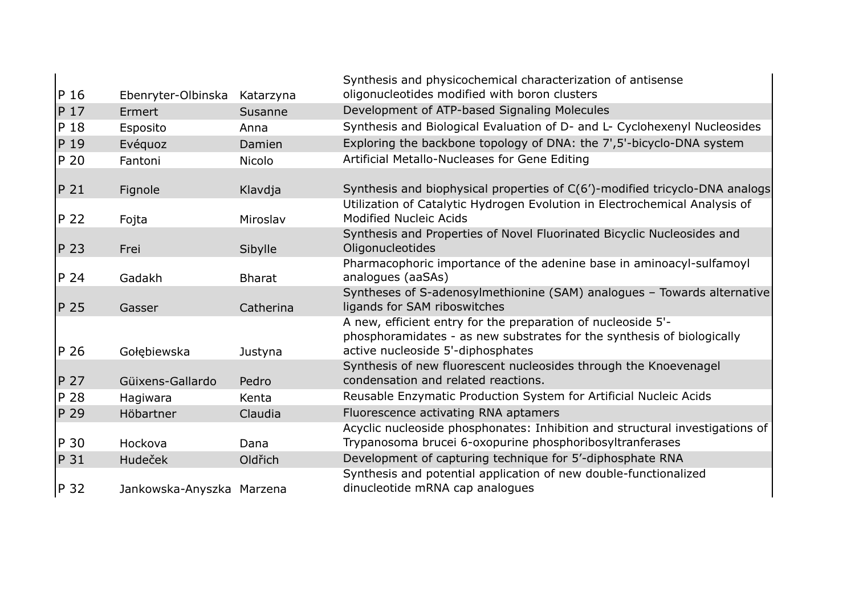| $P_16$          | Ebenryter-Olbinska        | Katarzyna     | Synthesis and physicochemical characterization of antisense<br>oligonucleotides modified with boron clusters                                                                |
|-----------------|---------------------------|---------------|-----------------------------------------------------------------------------------------------------------------------------------------------------------------------------|
| P 17            | Ermert                    | Susanne       | Development of ATP-based Signaling Molecules                                                                                                                                |
| P 18            | Esposito                  | Anna          | Synthesis and Biological Evaluation of D- and L- Cyclohexenyl Nucleosides                                                                                                   |
| P <sub>19</sub> | Evéquoz                   | Damien        | Exploring the backbone topology of DNA: the 7',5'-bicyclo-DNA system                                                                                                        |
| P 20            | Fantoni                   | <b>Nicolo</b> | Artificial Metallo-Nucleases for Gene Editing                                                                                                                               |
| P 21            | Fignole                   | Klavdja       | Synthesis and biophysical properties of C(6')-modified tricyclo-DNA analogs<br>Utilization of Catalytic Hydrogen Evolution in Electrochemical Analysis of                   |
| P 22            | Fojta                     | Miroslav      | <b>Modified Nucleic Acids</b>                                                                                                                                               |
| P <sub>23</sub> | Frei                      | Sibylle       | Synthesis and Properties of Novel Fluorinated Bicyclic Nucleosides and<br>Oligonucleotides                                                                                  |
| P 24            | Gadakh                    | <b>Bharat</b> | Pharmacophoric importance of the adenine base in aminoacyl-sulfamoyl<br>analogues (aaSAs)                                                                                   |
| P 25            | Gasser                    | Catherina     | Syntheses of S-adenosylmethionine (SAM) analogues - Towards alternative<br>ligands for SAM riboswitches                                                                     |
| P 26            | Gołębiewska               | Justyna       | A new, efficient entry for the preparation of nucleoside 5'-<br>phosphoramidates - as new substrates for the synthesis of biologically<br>active nucleoside 5'-diphosphates |
| P 27            | Güixens-Gallardo          | Pedro         | Synthesis of new fluorescent nucleosides through the Knoevenagel<br>condensation and related reactions.                                                                     |
| P 28            | Hagiwara                  | Kenta         | Reusable Enzymatic Production System for Artificial Nucleic Acids                                                                                                           |
| P 29            | Höbartner                 | Claudia       | Fluorescence activating RNA aptamers                                                                                                                                        |
| P 30            | Hockova                   | Dana          | Acyclic nucleoside phosphonates: Inhibition and structural investigations of<br>Trypanosoma brucei 6-oxopurine phosphoribosyltranferases                                    |
| $P_31$          | <b>Hudeček</b>            | Oldřich       | Development of capturing technique for 5'-diphosphate RNA                                                                                                                   |
| P 32            | Jankowska-Anyszka Marzena |               | Synthesis and potential application of new double-functionalized<br>dinucleotide mRNA cap analogues                                                                         |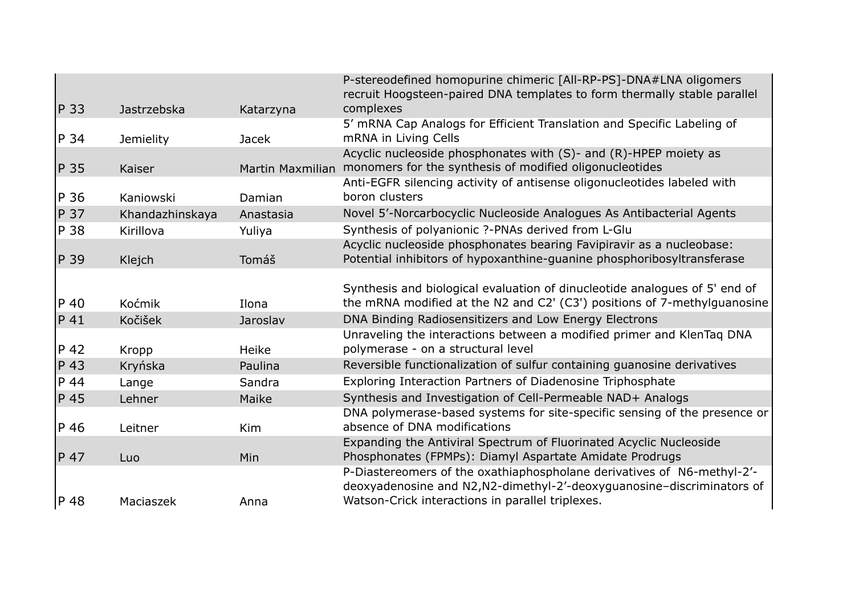|                 |                  |              | P-stereodefined homopurine chimeric [All-RP-PS]-DNA#LNA oligomers<br>recruit Hoogsteen-paired DNA templates to form thermally stable parallel                                                        |
|-----------------|------------------|--------------|------------------------------------------------------------------------------------------------------------------------------------------------------------------------------------------------------|
| $P_3$           | Jastrzebska      | Katarzyna    | complexes                                                                                                                                                                                            |
| P 34            | <b>Jemielity</b> | <b>Jacek</b> | 5' mRNA Cap Analogs for Efficient Translation and Specific Labeling of<br>mRNA in Living Cells                                                                                                       |
| P 35            | Kaiser           |              | Acyclic nucleoside phosphonates with (S)- and (R)-HPEP moiety as<br>Martin Maxmilian monomers for the synthesis of modified oligonucleotides                                                         |
| P 36            | Kaniowski        | Damian       | Anti-EGFR silencing activity of antisense oligonucleotides labeled with<br>boron clusters                                                                                                            |
| P 37            | Khandazhinskaya  | Anastasia    | Novel 5'-Norcarbocyclic Nucleoside Analogues As Antibacterial Agents                                                                                                                                 |
| P 38            | Kirillova        | Yuliya       | Synthesis of polyanionic ?-PNAs derived from L-Glu                                                                                                                                                   |
| P 39            | Klejch           | Tomáš        | Acyclic nucleoside phosphonates bearing Favipiravir as a nucleobase:<br>Potential inhibitors of hypoxanthine-quanine phosphoribosyltransferase                                                       |
| P 40            | Koćmik           | Ilona        | Synthesis and biological evaluation of dinucleotide analogues of 5' end of<br>the mRNA modified at the N2 and C2' (C3') positions of 7-methylguanosine                                               |
| P 41            | Kočišek          | Jaroslav     | DNA Binding Radiosensitizers and Low Energy Electrons                                                                                                                                                |
| $P_42$          | Kropp            | Heike        | Unraveling the interactions between a modified primer and KlenTag DNA<br>polymerase - on a structural level                                                                                          |
| $P$ 43          | Kryńska          | Paulina      | Reversible functionalization of sulfur containing guanosine derivatives                                                                                                                              |
| $P$ 44          | Lange            | Sandra       | Exploring Interaction Partners of Diadenosine Triphosphate                                                                                                                                           |
| P 45            | Lehner           | Maike        | Synthesis and Investigation of Cell-Permeable NAD+ Analogs                                                                                                                                           |
| P 46            | Leitner          | Kim          | DNA polymerase-based systems for site-specific sensing of the presence or<br>absence of DNA modifications                                                                                            |
| P <sub>47</sub> | Luo              | Min          | Expanding the Antiviral Spectrum of Fluorinated Acyclic Nucleoside<br>Phosphonates (FPMPs): Diamyl Aspartate Amidate Prodrugs                                                                        |
| P 48            | Maciaszek        | Anna         | P-Diastereomers of the oxathiaphospholane derivatives of N6-methyl-2'-<br>deoxyadenosine and N2, N2-dimethyl-2'-deoxyguanosine-discriminators of<br>Watson-Crick interactions in parallel triplexes. |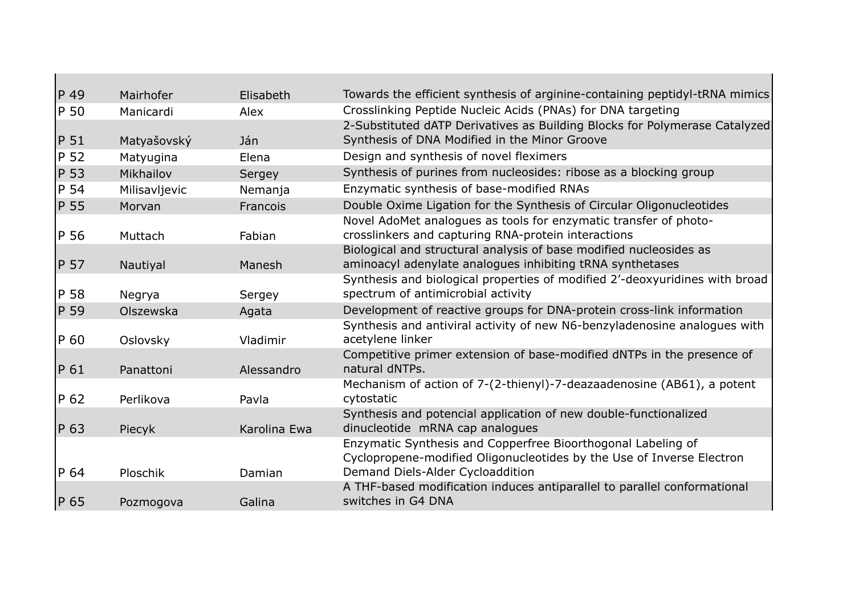| $P$ 49          | Mairhofer     | Elisabeth    | Towards the efficient synthesis of arginine-containing peptidyl-tRNA mimics                                                                                               |
|-----------------|---------------|--------------|---------------------------------------------------------------------------------------------------------------------------------------------------------------------------|
| P 50            | Manicardi     | Alex         | Crosslinking Peptide Nucleic Acids (PNAs) for DNA targeting                                                                                                               |
| P 51            | Matyašovský   | Ján          | 2-Substituted dATP Derivatives as Building Blocks for Polymerase Catalyzed<br>Synthesis of DNA Modified in the Minor Groove                                               |
| P <sub>52</sub> | Matyugina     | Elena        | Design and synthesis of novel fleximers                                                                                                                                   |
| P 53            | Mikhailov     |              | Synthesis of purines from nucleosides: ribose as a blocking group                                                                                                         |
|                 |               | Sergey       |                                                                                                                                                                           |
| P 54            | Milisavljevic | Nemanja      | Enzymatic synthesis of base-modified RNAs                                                                                                                                 |
| P 55            | Morvan        | Francois     | Double Oxime Ligation for the Synthesis of Circular Oligonucleotides                                                                                                      |
| P 56            | Muttach       | Fabian       | Novel AdoMet analogues as tools for enzymatic transfer of photo-<br>crosslinkers and capturing RNA-protein interactions                                                   |
| P 57            | Nautiyal      | Manesh       | Biological and structural analysis of base modified nucleosides as<br>aminoacyl adenylate analogues inhibiting tRNA synthetases                                           |
| P 58            | Negrya        | Sergey       | Synthesis and biological properties of modified 2'-deoxyuridines with broad<br>spectrum of antimicrobial activity                                                         |
| P 59            | Olszewska     | Agata        | Development of reactive groups for DNA-protein cross-link information                                                                                                     |
| P 60            | Oslovsky      | Vladimir     | Synthesis and antiviral activity of new N6-benzyladenosine analogues with<br>acetylene linker                                                                             |
| P 61            | Panattoni     | Alessandro   | Competitive primer extension of base-modified dNTPs in the presence of<br>natural dNTPs.                                                                                  |
| $P_62$          | Perlikova     | Pavla        | Mechanism of action of 7-(2-thienyl)-7-deazaadenosine (AB61), a potent<br>cytostatic                                                                                      |
| P 63            | Piecyk        | Karolina Ewa | Synthesis and potencial application of new double-functionalized<br>dinucleotide mRNA cap analogues                                                                       |
| P 64            | Ploschik      | Damian       | Enzymatic Synthesis and Copperfree Bioorthogonal Labeling of<br>Cyclopropene-modified Oligonucleotides by the Use of Inverse Electron<br>Demand Diels-Alder Cycloaddition |
|                 |               |              | A THF-based modification induces antiparallel to parallel conformational                                                                                                  |
| P 65            | Pozmogova     | Galina       | switches in G4 DNA                                                                                                                                                        |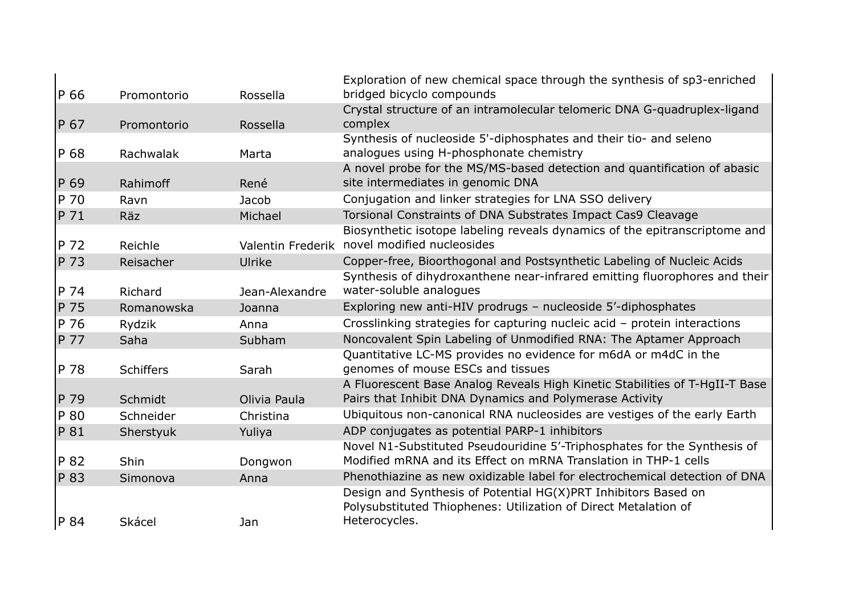| P 66 | Promontorio      | Rossella       | Exploration of new chemical space through the synthesis of sp3-enriched<br>bridged bicyclo compounds                                               |
|------|------------------|----------------|----------------------------------------------------------------------------------------------------------------------------------------------------|
| P 67 | Promontorio      | Rossella       | Crystal structure of an intramolecular telomeric DNA G-quadruplex-ligand<br>complex                                                                |
| P 68 | Rachwalak        | Marta          | Synthesis of nucleoside 5'-diphosphates and their tio- and seleno<br>analogues using H-phosphonate chemistry                                       |
| P 69 | Rahimoff         | René           | A novel probe for the MS/MS-based detection and quantification of abasic<br>site intermediates in genomic DNA                                      |
| P 70 | Ravn             | Jacob          | Conjugation and linker strategies for LNA SSO delivery                                                                                             |
| P 71 | <b>Räz</b>       | Michael        | Torsional Constraints of DNA Substrates Impact Cas9 Cleavage                                                                                       |
| P 72 | Reichle          |                | Biosynthetic isotope labeling reveals dynamics of the epitranscriptome and<br>Valentin Frederik novel modified nucleosides                         |
| P 73 | Reisacher        | Ulrike         | Copper-free, Bioorthogonal and Postsynthetic Labeling of Nucleic Acids                                                                             |
| P 74 | Richard          | Jean-Alexandre | Synthesis of dihydroxanthene near-infrared emitting fluorophores and their<br>water-soluble analogues                                              |
| P 75 | Romanowska       | Joanna         | Exploring new anti-HIV prodrugs - nucleoside 5'-diphosphates                                                                                       |
| P 76 | Rydzik           | Anna           | Crosslinking strategies for capturing nucleic acid - protein interactions                                                                          |
| P 77 | Saha             | Subham         | Noncovalent Spin Labeling of Unmodified RNA: The Aptamer Approach                                                                                  |
| P 78 | <b>Schiffers</b> | Sarah          | Quantitative LC-MS provides no evidence for m6dA or m4dC in the<br>genomes of mouse ESCs and tissues                                               |
| P 79 | Schmidt          | Olivia Paula   | A Fluorescent Base Analog Reveals High Kinetic Stabilities of T-HgII-T Base<br>Pairs that Inhibit DNA Dynamics and Polymerase Activity             |
| P 80 | Schneider        | Christina      | Ubiquitous non-canonical RNA nucleosides are vestiges of the early Earth                                                                           |
| P 81 | Sherstyuk        | Yuliya         | ADP conjugates as potential PARP-1 inhibitors                                                                                                      |
| P 82 | <b>Shin</b>      | Dongwon        | Novel N1-Substituted Pseudouridine 5'-Triphosphates for the Synthesis of<br>Modified mRNA and its Effect on mRNA Translation in THP-1 cells        |
| P 83 | Simonova         | Anna           | Phenothiazine as new oxidizable label for electrochemical detection of DNA                                                                         |
| P 84 | Skácel           | Jan            | Design and Synthesis of Potential HG(X)PRT Inhibitors Based on<br>Polysubstituted Thiophenes: Utilization of Direct Metalation of<br>Heterocycles. |